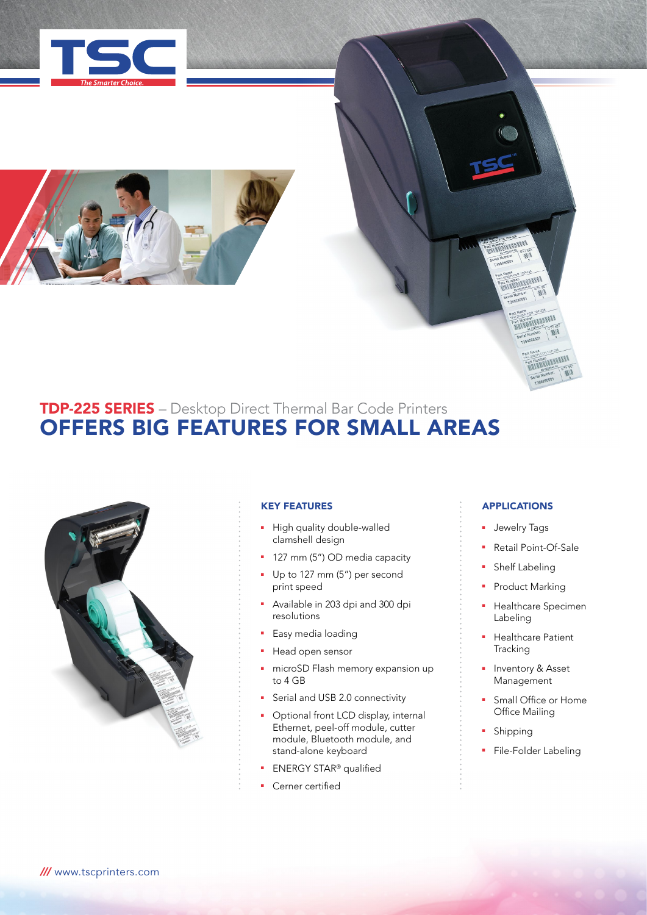



# TDP-225 SERIES – Desktop Direct Thermal Bar Code Printers OFFERS BIG FEATURES FOR SMALL AREAS



# KEY FEATURES

- High quality double-walled clamshell design
- 127 mm (5") OD media capacity
- Up to 127 mm (5") per second print speed
- <sup>n</sup> Available in 203 dpi and 300 dpi resolutions
- Easy media loading
- **Head open sensor**
- microSD Flash memory expansion up to 4 GB
- **F** Serial and USB 2.0 connectivity
- Optional front LCD display, internal Ethernet, peel-off module, cutter module, Bluetooth module, and stand-alone keyboard
- ENERGY STAR<sup>®</sup> qualified
- Cerner certified

# APPLICATIONS

**FARTHING** 

**ANTENNATE** 

**COOPLEOR** 

- **Jewelry Tags**
- Retail Point-Of-Sale
- **Branch Shelf Labeling**
- Product Marking
- **•** Healthcare Specimen Labeling
- Healthcare Patient **Tracking**
- Inventory & Asset Management
- Small Office or Home Office Mailing
- Shipping
- File-Folder Labeling